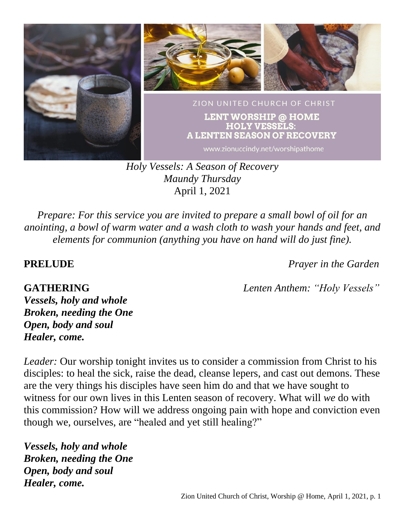

*Holy Vessels: A Season of Recovery Maundy Thursday* April 1, 2021

*Prepare: For this service you are invited to prepare a small bowl of oil for an anointing, a bowl of warm water and a wash cloth to wash your hands and feet, and elements for communion (anything you have on hand will do just fine).*

**PRELUDE** *Prayer in the Garden*

**GATHERING** *Lenten Anthem: "Holy Vessels"*

*Vessels, holy and whole Broken, needing the One Open, body and soul Healer, come.*

*Leader:* Our worship tonight invites us to consider a commission from Christ to his disciples: to heal the sick, raise the dead, cleanse lepers, and cast out demons. These are the very things his disciples have seen him do and that we have sought to witness for our own lives in this Lenten season of recovery. What will *we* do with this commission? How will we address ongoing pain with hope and conviction even though we, ourselves, are "healed and yet still healing?"

*Vessels, holy and whole Broken, needing the One Open, body and soul Healer, come.*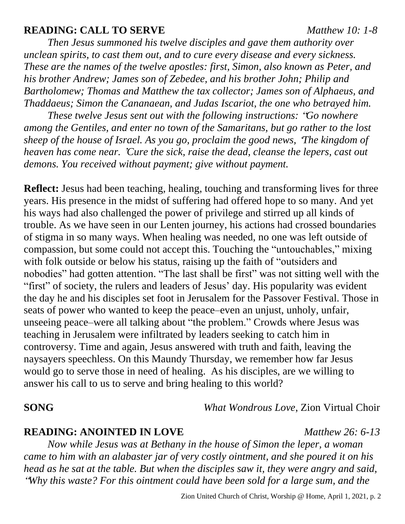### **READING: CALL TO SERVE** *Matthew 10: 1-8*

*Then Jesus summoned his twelve disciples and gave them authority over unclean spirits, to cast them out, and to cure every disease and every sickness. These are the names of the twelve apostles: first, Simon, also known as Peter, and his brother Andrew; James son of Zebedee, and his brother John; Philip and Bartholomew; Thomas and Matthew the tax collector; James son of Alphaeus, and Thaddaeus; Simon the Cananaean, and Judas Iscariot, the one who betrayed him.*

*These twelve Jesus sent out with the following instructions:* "*Go nowhere among the Gentiles, and enter no town of the Samaritans, but go rather to the lost sheep of the house of Israel. As you go, proclaim the good news,* '*The kingdom of heaven has come near.* '*Cure the sick, raise the dead, cleanse the lepers, cast out demons. You received without payment; give without payment.*

**Reflect:** Jesus had been teaching, healing, touching and transforming lives for three years. His presence in the midst of suffering had offered hope to so many. And yet his ways had also challenged the power of privilege and stirred up all kinds of trouble. As we have seen in our Lenten journey, his actions had crossed boundaries of stigma in so many ways. When healing was needed, no one was left outside of compassion, but some could not accept this. Touching the "untouchables," mixing with folk outside or below his status, raising up the faith of "outsiders and nobodies" had gotten attention. "The last shall be first" was not sitting well with the "first" of society, the rulers and leaders of Jesus' day. His popularity was evident the day he and his disciples set foot in Jerusalem for the Passover Festival. Those in seats of power who wanted to keep the peace–even an unjust, unholy, unfair, unseeing peace–were all talking about "the problem." Crowds where Jesus was teaching in Jerusalem were infiltrated by leaders seeking to catch him in controversy. Time and again, Jesus answered with truth and faith, leaving the naysayers speechless. On this Maundy Thursday, we remember how far Jesus would go to serve those in need of healing. As his disciples, are we willing to answer his call to us to serve and bring healing to this world?

## **SONG** *What Wondrous Love*, Zion Virtual Choir

### **READING: ANOINTED IN LOVE** *Matthew 26: 6-13*

*Now while Jesus was at Bethany in the house of Simon the leper, a woman came to him with an alabaster jar of very costly ointment, and she poured it on his head as he sat at the table. But when the disciples saw it, they were angry and said,* "*Why this waste? For this ointment could have been sold for a large sum, and the*

Zion United Church of Christ, Worship @ Home, April 1, 2021, p. 2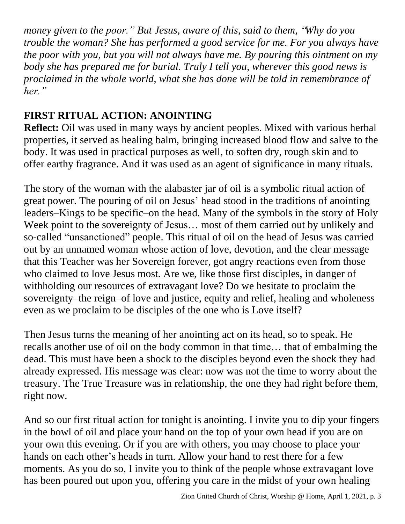*money given to the poor." But Jesus, aware of this, said to them,* "*Why do you trouble the woman? She has performed a good service for me. For you always have the poor with you, but you will not always have me. By pouring this ointment on my body she has prepared me for burial. Truly I tell you, wherever this good news is proclaimed in the whole world, what she has done will be told in remembrance of her."*

# **FIRST RITUAL ACTION: ANOINTING**

**Reflect:** Oil was used in many ways by ancient peoples. Mixed with various herbal properties, it served as healing balm, bringing increased blood flow and salve to the body. It was used in practical purposes as well, to soften dry, rough skin and to offer earthy fragrance. And it was used as an agent of significance in many rituals.

The story of the woman with the alabaster jar of oil is a symbolic ritual action of great power. The pouring of oil on Jesus' head stood in the traditions of anointing leaders–Kings to be specific–on the head. Many of the symbols in the story of Holy Week point to the sovereignty of Jesus... most of them carried out by unlikely and so-called "unsanctioned" people. This ritual of oil on the head of Jesus was carried out by an unnamed woman whose action of love, devotion, and the clear message that this Teacher was her Sovereign forever, got angry reactions even from those who claimed to love Jesus most. Are we, like those first disciples, in danger of withholding our resources of extravagant love? Do we hesitate to proclaim the sovereignty–the reign–of love and justice, equity and relief, healing and wholeness even as we proclaim to be disciples of the one who is Love itself?

Then Jesus turns the meaning of her anointing act on its head, so to speak. He recalls another use of oil on the body common in that time… that of embalming the dead. This must have been a shock to the disciples beyond even the shock they had already expressed. His message was clear: now was not the time to worry about the treasury. The True Treasure was in relationship, the one they had right before them, right now.

And so our first ritual action for tonight is anointing. I invite you to dip your fingers in the bowl of oil and place your hand on the top of your own head if you are on your own this evening. Or if you are with others, you may choose to place your hands on each other's heads in turn. Allow your hand to rest there for a few moments. As you do so, I invite you to think of the people whose extravagant love has been poured out upon you, offering you care in the midst of your own healing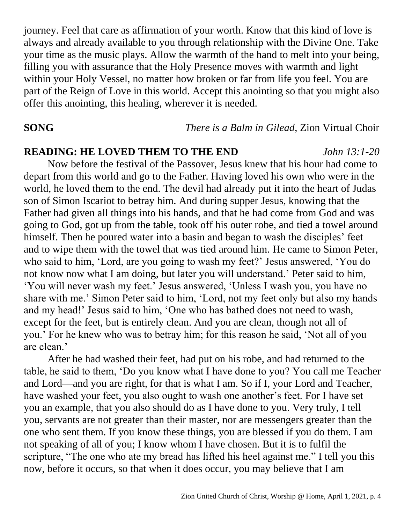journey. Feel that care as affirmation of your worth. Know that this kind of love is always and already available to you through relationship with the Divine One. Take your time as the music plays. Allow the warmth of the hand to melt into your being, filling you with assurance that the Holy Presence moves with warmth and light within your Holy Vessel, no matter how broken or far from life you feel. You are part of the Reign of Love in this world. Accept this anointing so that you might also offer this anointing, this healing, wherever it is needed.

**SONG** *There is a Balm in Gilead*, Zion Virtual Choir

### **READING: HE LOVED THEM TO THE END** *John 13:1-20*

Now before the festival of the Passover, Jesus knew that his hour had come to depart from this world and go to the Father. Having loved his own who were in the world, he loved them to the end. The devil had already put it into the heart of Judas son of Simon Iscariot to betray him. And during supper Jesus, knowing that the Father had given all things into his hands, and that he had come from God and was going to God, got up from the table, took off his outer robe, and tied a towel around himself. Then he poured water into a basin and began to wash the disciples' feet and to wipe them with the towel that was tied around him. He came to Simon Peter, who said to him, 'Lord, are you going to wash my feet?' Jesus answered, 'You do not know now what I am doing, but later you will understand.' Peter said to him, 'You will never wash my feet.' Jesus answered, 'Unless I wash you, you have no share with me.' Simon Peter said to him, 'Lord, not my feet only but also my hands and my head!' Jesus said to him, 'One who has bathed does not need to wash, except for the feet, but is entirely clean. And you are clean, though not all of you.' For he knew who was to betray him; for this reason he said, 'Not all of you are clean.'

After he had washed their feet, had put on his robe, and had returned to the table, he said to them, 'Do you know what I have done to you? You call me Teacher and Lord—and you are right, for that is what I am. So if I, your Lord and Teacher, have washed your feet, you also ought to wash one another's feet. For I have set you an example, that you also should do as I have done to you. Very truly, I tell you, servants are not greater than their master, nor are messengers greater than the one who sent them. If you know these things, you are blessed if you do them. I am not speaking of all of you; I know whom I have chosen. But it is to fulfil the scripture, "The one who ate my bread has lifted his heel against me." I tell you this now, before it occurs, so that when it does occur, you may believe that I am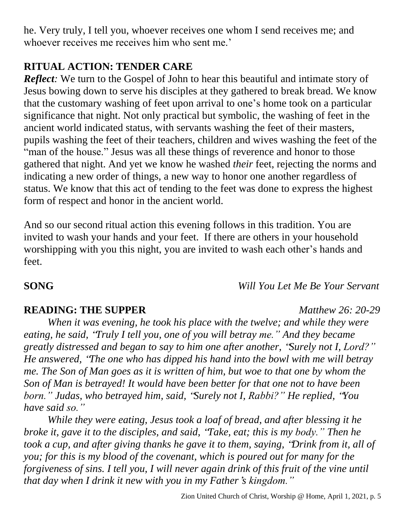he. Very truly, I tell you, whoever receives one whom I send receives me; and whoever receives me receives him who sent me.'

# **RITUAL ACTION: TENDER CARE**

*Reflect*: We turn to the Gospel of John to hear this beautiful and intimate story of Jesus bowing down to serve his disciples at they gathered to break bread. We know that the customary washing of feet upon arrival to one's home took on a particular significance that night. Not only practical but symbolic, the washing of feet in the ancient world indicated status, with servants washing the feet of their masters, pupils washing the feet of their teachers, children and wives washing the feet of the "man of the house." Jesus was all these things of reverence and honor to those gathered that night. And yet we know he washed *their* feet, rejecting the norms and indicating a new order of things, a new way to honor one another regardless of status. We know that this act of tending to the feet was done to express the highest form of respect and honor in the ancient world.

And so our second ritual action this evening follows in this tradition. You are invited to wash your hands and your feet. If there are others in your household worshipping with you this night, you are invited to wash each other's hands and feet.

**SONG** *Will You Let Me Be Your Servant*

## **READING: THE SUPPER** *Matthew 26: 20-29*

*When it was evening, he took his place with the twelve; and while they were eating, he said,* "*Truly I tell you, one of you will betray me." And they became greatly distressed and began to say to him one after another,* "*Surely not I, Lord?" He answered,* "*The one who has dipped his hand into the bowl with me will betray me. The Son of Man goes as it is written of him, but woe to that one by whom the Son of Man is betrayed! It would have been better for that one not to have been born." Judas, who betrayed him, said,* "*Surely not I, Rabbi?" He replied,* "*You have said so."*

*While they were eating, Jesus took a loaf of bread, and after blessing it he broke it, gave it to the disciples, and said,* "*Take, eat; this is my body." Then he took a cup, and after giving thanks he gave it to them, saying,* "*Drink from it, all of you; for this is my blood of the covenant, which is poured out for many for the forgiveness of sins. I tell you, I will never again drink of this fruit of the vine until that day when I drink it new with you in my Father*'*s kingdom."*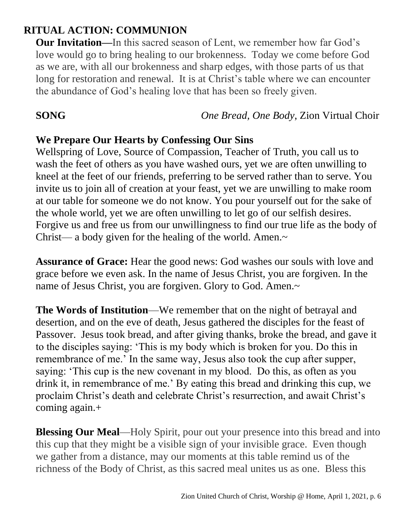# **RITUAL ACTION: COMMUNION**

**Our Invitation—**In this sacred season of Lent, we remember how far God's love would go to bring healing to our brokenness. Today we come before God as we are, with all our brokenness and sharp edges, with those parts of us that long for restoration and renewal. It is at Christ's table where we can encounter the abundance of God's healing love that has been so freely given.

**SONG** *One Bread, One Body*, Zion Virtual Choir

### **We Prepare Our Hearts by Confessing Our Sins**

Wellspring of Love, Source of Compassion, Teacher of Truth, you call us to wash the feet of others as you have washed ours, yet we are often unwilling to kneel at the feet of our friends, preferring to be served rather than to serve. You invite us to join all of creation at your feast, yet we are unwilling to make room at our table for someone we do not know. You pour yourself out for the sake of the whole world, yet we are often unwilling to let go of our selfish desires. Forgive us and free us from our unwillingness to find our true life as the body of Christ— a body given for the healing of the world. Amen.~

**Assurance of Grace:** Hear the good news: God washes our souls with love and grace before we even ask. In the name of Jesus Christ, you are forgiven. In the name of Jesus Christ, you are forgiven. Glory to God. Amen.~

**The Words of Institution**—We remember that on the night of betrayal and desertion, and on the eve of death, Jesus gathered the disciples for the feast of Passover. Jesus took bread, and after giving thanks, broke the bread, and gave it to the disciples saying: 'This is my body which is broken for you. Do this in remembrance of me.' In the same way, Jesus also took the cup after supper, saying: 'This cup is the new covenant in my blood. Do this, as often as you drink it, in remembrance of me.' By eating this bread and drinking this cup, we proclaim Christ's death and celebrate Christ's resurrection, and await Christ's coming again.+

**Blessing Our Meal—Holy Spirit, pour out your presence into this bread and into** this cup that they might be a visible sign of your invisible grace. Even though we gather from a distance, may our moments at this table remind us of the richness of the Body of Christ, as this sacred meal unites us as one. Bless this